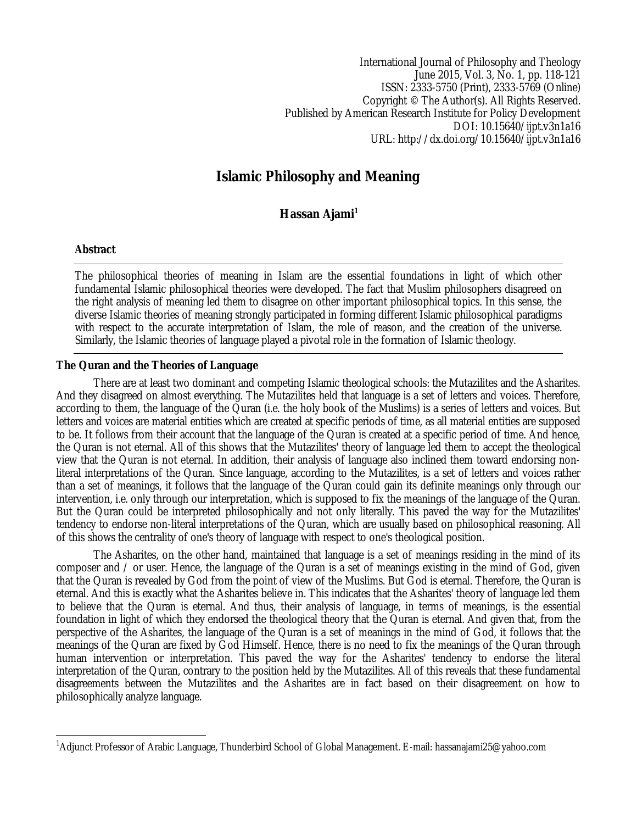International Journal of Philosophy and Theology June 2015, Vol. 3, No. 1, pp. 118-121 ISSN: 2333-5750 (Print), 2333-5769 (Online) Copyright © The Author(s). All Rights Reserved. Published by American Research Institute for Policy Development DOI: 10.15640/ijpt.v3n1a16 URL: http://dx.doi.org/10.15640/ijpt.v3n1a16

# **Islamic Philosophy and Meaning**

## **Hassan Ajami<sup>1</sup>**

## **Abstract**

 $\overline{a}$ 

The philosophical theories of meaning in Islam are the essential foundations in light of which other fundamental Islamic philosophical theories were developed. The fact that Muslim philosophers disagreed on the right analysis of meaning led them to disagree on other important philosophical topics. In this sense, the diverse Islamic theories of meaning strongly participated in forming different Islamic philosophical paradigms with respect to the accurate interpretation of Islam, the role of reason, and the creation of the universe. Similarly, the Islamic theories of language played a pivotal role in the formation of Islamic theology.

## **The Quran and the Theories of Language**

There are at least two dominant and competing Islamic theological schools: the Mutazilites and the Asharites. And they disagreed on almost everything. The Mutazilites held that language is a set of letters and voices. Therefore, according to them, the language of the Quran (i.e. the holy book of the Muslims) is a series of letters and voices. But letters and voices are material entities which are created at specific periods of time, as all material entities are supposed to be. It follows from their account that the language of the Quran is created at a specific period of time. And hence, the Quran is not eternal. All of this shows that the Mutazilites' theory of language led them to accept the theological view that the Quran is not eternal. In addition, their analysis of language also inclined them toward endorsing nonliteral interpretations of the Quran. Since language, according to the Mutazilites, is a set of letters and voices rather than a set of meanings, it follows that the language of the Quran could gain its definite meanings only through our intervention, i.e. only through our interpretation, which is supposed to fix the meanings of the language of the Quran. But the Quran could be interpreted philosophically and not only literally. This paved the way for the Mutazilites' tendency to endorse non-literal interpretations of the Quran, which are usually based on philosophical reasoning. All of this shows the centrality of one's theory of language with respect to one's theological position.

The Asharites, on the other hand, maintained that language is a set of meanings residing in the mind of its composer and / or user. Hence, the language of the Quran is a set of meanings existing in the mind of God, given that the Quran is revealed by God from the point of view of the Muslims. But God is eternal. Therefore, the Quran is eternal. And this is exactly what the Asharites believe in. This indicates that the Asharites' theory of language led them to believe that the Quran is eternal. And thus, their analysis of language, in terms of meanings, is the essential foundation in light of which they endorsed the theological theory that the Quran is eternal. And given that, from the perspective of the Asharites, the language of the Quran is a set of meanings in the mind of God, it follows that the meanings of the Quran are fixed by God Himself. Hence, there is no need to fix the meanings of the Quran through human intervention or interpretation. This paved the way for the Asharites' tendency to endorse the literal interpretation of the Quran, contrary to the position held by the Mutazilites. All of this reveals that these fundamental disagreements between the Mutazilites and the Asharites are in fact based on their disagreement on how to philosophically analyze language.

<sup>1</sup>Adjunct Professor of Arabic Language, Thunderbird School of Global Management. E-mail: hassanajami25@yahoo.com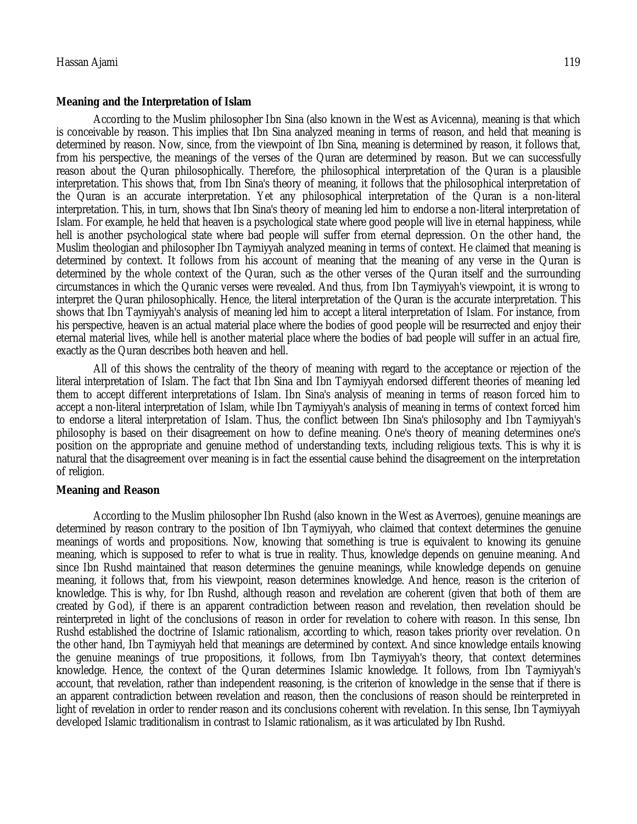#### **Meaning and the Interpretation of Islam**

According to the Muslim philosopher Ibn Sina (also known in the West as Avicenna), meaning is that which is conceivable by reason. This implies that Ibn Sina analyzed meaning in terms of reason, and held that meaning is determined by reason. Now, since, from the viewpoint of Ibn Sina, meaning is determined by reason, it follows that, from his perspective, the meanings of the verses of the Quran are determined by reason. But we can successfully reason about the Quran philosophically. Therefore, the philosophical interpretation of the Quran is a plausible interpretation. This shows that, from Ibn Sina's theory of meaning, it follows that the philosophical interpretation of the Quran is an accurate interpretation. Yet any philosophical interpretation of the Quran is a non-literal interpretation. This, in turn, shows that Ibn Sina's theory of meaning led him to endorse a non-literal interpretation of Islam. For example, he held that heaven is a psychological state where good people will live in eternal happiness, while hell is another psychological state where bad people will suffer from eternal depression. On the other hand, the Muslim theologian and philosopher Ibn Taymiyyah analyzed meaning in terms of context. He claimed that meaning is determined by context. It follows from his account of meaning that the meaning of any verse in the Quran is determined by the whole context of the Quran, such as the other verses of the Quran itself and the surrounding circumstances in which the Quranic verses were revealed. And thus, from Ibn Taymiyyah's viewpoint, it is wrong to interpret the Quran philosophically. Hence, the literal interpretation of the Quran is the accurate interpretation. This shows that Ibn Taymiyyah's analysis of meaning led him to accept a literal interpretation of Islam. For instance, from his perspective, heaven is an actual material place where the bodies of good people will be resurrected and enjoy their eternal material lives, while hell is another material place where the bodies of bad people will suffer in an actual fire, exactly as the Quran describes both heaven and hell.

All of this shows the centrality of the theory of meaning with regard to the acceptance or rejection of the literal interpretation of Islam. The fact that Ibn Sina and Ibn Taymiyyah endorsed different theories of meaning led them to accept different interpretations of Islam. Ibn Sina's analysis of meaning in terms of reason forced him to accept a non-literal interpretation of Islam, while Ibn Taymiyyah's analysis of meaning in terms of context forced him to endorse a literal interpretation of Islam. Thus, the conflict between Ibn Sina's philosophy and Ibn Taymiyyah's philosophy is based on their disagreement on how to define meaning. One's theory of meaning determines one's position on the appropriate and genuine method of understanding texts, including religious texts. This is why it is natural that the disagreement over meaning is in fact the essential cause behind the disagreement on the interpretation of religion.

#### **Meaning and Reason**

According to the Muslim philosopher Ibn Rushd (also known in the West as Averroes), genuine meanings are determined by reason contrary to the position of Ibn Taymiyyah, who claimed that context determines the genuine meanings of words and propositions. Now, knowing that something is true is equivalent to knowing its genuine meaning, which is supposed to refer to what is true in reality. Thus, knowledge depends on genuine meaning. And since Ibn Rushd maintained that reason determines the genuine meanings, while knowledge depends on genuine meaning, it follows that, from his viewpoint, reason determines knowledge. And hence, reason is the criterion of knowledge. This is why, for Ibn Rushd, although reason and revelation are coherent (given that both of them are created by God), if there is an apparent contradiction between reason and revelation, then revelation should be reinterpreted in light of the conclusions of reason in order for revelation to cohere with reason. In this sense, Ibn Rushd established the doctrine of Islamic rationalism, according to which, reason takes priority over revelation. On the other hand, Ibn Taymiyyah held that meanings are determined by context. And since knowledge entails knowing the genuine meanings of true propositions, it follows, from Ibn Taymiyyah's theory, that context determines knowledge. Hence, the context of the Quran determines Islamic knowledge. It follows, from Ibn Taymiyyah's account, that revelation, rather than independent reasoning, is the criterion of knowledge in the sense that if there is an apparent contradiction between revelation and reason, then the conclusions of reason should be reinterpreted in light of revelation in order to render reason and its conclusions coherent with revelation. In this sense, Ibn Taymiyyah developed Islamic traditionalism in contrast to Islamic rationalism, as it was articulated by Ibn Rushd.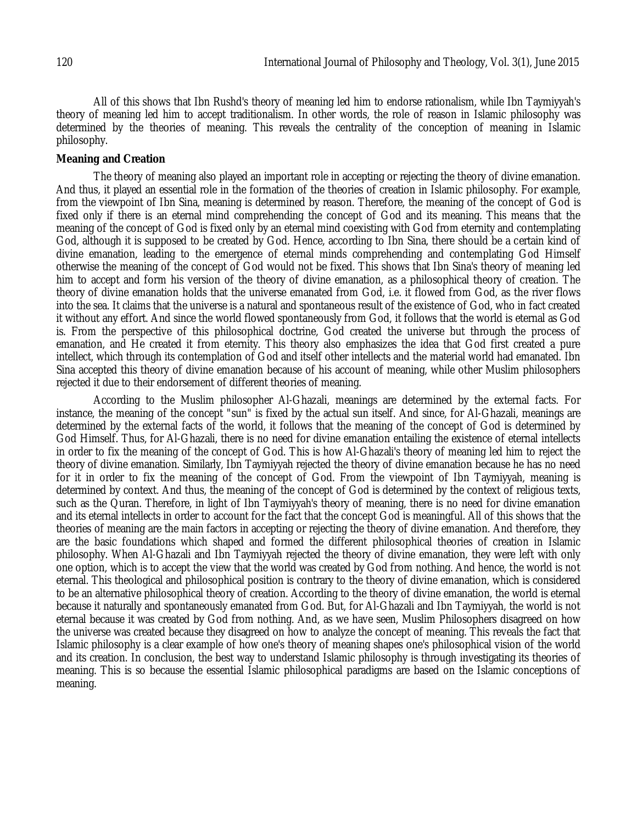All of this shows that Ibn Rushd's theory of meaning led him to endorse rationalism, while Ibn Taymiyyah's theory of meaning led him to accept traditionalism. In other words, the role of reason in Islamic philosophy was determined by the theories of meaning. This reveals the centrality of the conception of meaning in Islamic philosophy.

## **Meaning and Creation**

The theory of meaning also played an important role in accepting or rejecting the theory of divine emanation. And thus, it played an essential role in the formation of the theories of creation in Islamic philosophy. For example, from the viewpoint of Ibn Sina, meaning is determined by reason. Therefore, the meaning of the concept of God is fixed only if there is an eternal mind comprehending the concept of God and its meaning. This means that the meaning of the concept of God is fixed only by an eternal mind coexisting with God from eternity and contemplating God, although it is supposed to be created by God. Hence, according to Ibn Sina, there should be a certain kind of divine emanation, leading to the emergence of eternal minds comprehending and contemplating God Himself otherwise the meaning of the concept of God would not be fixed. This shows that Ibn Sina's theory of meaning led him to accept and form his version of the theory of divine emanation, as a philosophical theory of creation. The theory of divine emanation holds that the universe emanated from God, i.e. it flowed from God, as the river flows into the sea. It claims that the universe is a natural and spontaneous result of the existence of God, who in fact created it without any effort. And since the world flowed spontaneously from God, it follows that the world is eternal as God is. From the perspective of this philosophical doctrine, God created the universe but through the process of emanation, and He created it from eternity. This theory also emphasizes the idea that God first created a pure intellect, which through its contemplation of God and itself other intellects and the material world had emanated. Ibn Sina accepted this theory of divine emanation because of his account of meaning, while other Muslim philosophers rejected it due to their endorsement of different theories of meaning.

According to the Muslim philosopher Al-Ghazali, meanings are determined by the external facts. For instance, the meaning of the concept "sun" is fixed by the actual sun itself. And since, for Al-Ghazali, meanings are determined by the external facts of the world, it follows that the meaning of the concept of God is determined by God Himself. Thus, for Al-Ghazali, there is no need for divine emanation entailing the existence of eternal intellects in order to fix the meaning of the concept of God. This is how Al-Ghazali's theory of meaning led him to reject the theory of divine emanation. Similarly, Ibn Taymiyyah rejected the theory of divine emanation because he has no need for it in order to fix the meaning of the concept of God. From the viewpoint of Ibn Taymiyyah, meaning is determined by context. And thus, the meaning of the concept of God is determined by the context of religious texts, such as the Quran. Therefore, in light of Ibn Taymiyyah's theory of meaning, there is no need for divine emanation and its eternal intellects in order to account for the fact that the concept God is meaningful. All of this shows that the theories of meaning are the main factors in accepting or rejecting the theory of divine emanation. And therefore, they are the basic foundations which shaped and formed the different philosophical theories of creation in Islamic philosophy. When Al-Ghazali and Ibn Taymiyyah rejected the theory of divine emanation, they were left with only one option, which is to accept the view that the world was created by God from nothing. And hence, the world is not eternal. This theological and philosophical position is contrary to the theory of divine emanation, which is considered to be an alternative philosophical theory of creation. According to the theory of divine emanation, the world is eternal because it naturally and spontaneously emanated from God. But, for Al-Ghazali and Ibn Taymiyyah, the world is not eternal because it was created by God from nothing. And, as we have seen, Muslim Philosophers disagreed on how the universe was created because they disagreed on how to analyze the concept of meaning. This reveals the fact that Islamic philosophy is a clear example of how one's theory of meaning shapes one's philosophical vision of the world and its creation. In conclusion, the best way to understand Islamic philosophy is through investigating its theories of meaning. This is so because the essential Islamic philosophical paradigms are based on the Islamic conceptions of meaning.